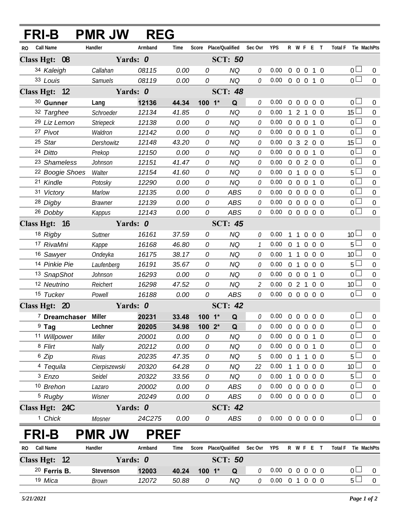| FRI-B        |                            | <b>PMR JW</b>    | <b>REG</b>  |       |            |                 |              |                            |                |                                  |                   |     |                     |                  |
|--------------|----------------------------|------------------|-------------|-------|------------|-----------------|--------------|----------------------------|----------------|----------------------------------|-------------------|-----|---------------------|------------------|
| RO.          | Call Name                  | Handler          | Armband     | Time  | Score      | Place/Qualified | Sec Ovr      | <b>YPS</b>                 |                |                                  | R W F E T         |     | Total F Tie MachPts |                  |
|              | Class Hgt: 08              | Yards: 0         |             |       |            | <b>SCT: 50</b>  |              |                            |                |                                  |                   |     |                     |                  |
|              | 34 Kaleigh                 | Callahan         | 08115       | 0.00  | 0          | <b>NQ</b>       | 0            | 0.00                       | $\overline{0}$ | $\overline{0}$<br>$\overline{0}$ | $1\quad0$         |     | 0 <sub>0</sub>      | $\mathbf 0$      |
|              | 33 Louis                   | <b>Samuels</b>   | 08119       | 0.00  | 0          | <b>NQ</b>       | 0            | 0.00                       |                |                                  | 0 0 0 1 0         |     | $\overline{0}$      | $\overline{0}$   |
|              | Class Hgt: 12              | Yards: 0         |             |       |            | <b>SCT: 48</b>  |              |                            |                |                                  |                   |     |                     |                  |
|              | 30 Gunner                  | Lang             | 12136       | 44.34 | $100 - 1*$ | Q               | 0            | 0.00                       | $\overline{0}$ | $\overline{0}$<br>$\overline{0}$ | $0\quad 0$        |     | 0 <sup>1</sup>      | $\mathbf 0$      |
|              | 32 Targhee                 | Schroeder        | 12134       | 41.85 | 0          | NQ              | 0            | 0.00                       |                | 2<br>1                           | 0 <sub>0</sub>    |     | $15 \perp$          | $\overline{0}$   |
|              | 29 Liz Lemon               | <b>Striepeck</b> | 12138       | 0.00  | 0          | <b>NQ</b>       | 0            | 0.00                       |                | $0\quad 0\quad 0$                | $1\quad0$         |     | 0 <sup>1</sup>      | $\overline{0}$   |
|              | 27 Pivot                   | Waldron          | 12142       | 0.00  | 0          | <b>NQ</b>       | 0            | 0.00                       |                | $0\quad 0\quad 0$                | 1                 | - 0 | 0 <sup>1</sup>      | $\mathbf 0$      |
|              | 25 Star                    | Dershowitz       | 12148       | 43.20 | 0          | <b>NQ</b>       | 0            | 0.00                       | 0 <sup>3</sup> |                                  | 200               |     | 15 <sup>15</sup>    | $\mathbf 0$      |
|              | 24 Ditto                   | Prekop           | 12150       | 0.00  | 0          | <b>NQ</b>       | 0            | 0.00                       |                | $0\quad 0\quad 0$                |                   | 1 0 | 0 <sup>1</sup>      | $\mathbf 0$      |
|              | <sup>23</sup> Shameless    | Johnson          | 12151       | 41.47 | 0          | <b>NQ</b>       | 0            | 0.00                       |                |                                  | 0 0 2 0 0         |     | 0 <sup>1</sup>      | $\mathbf 0$      |
|              | <sup>22</sup> Boogie Shoes | Walter           | 12154       | 41.60 | 0          | NQ              | 0            | 0.00                       |                |                                  | 0 1 0 0 0         |     | 5                   | $\mathbf 0$      |
|              | 21 Kindle                  | Potosky          | 12290       | 0.00  | 0          | <b>NQ</b>       | 0            | 0.00                       |                | $0\quad 0\quad 0$                | 1 0               |     | 0 <sup>1</sup>      | $\mathbf 0$      |
|              | 31 Victory                 | Marlow           | 12135       | 0.00  | 0          | <b>ABS</b>      | 0            | 0.00                       |                |                                  | 00000             |     | 0 <sub>0</sub>      | $\mathbf 0$      |
|              | 28 Digby                   | <b>Brawner</b>   | 12139       | 0.00  | 0          | <b>ABS</b>      | 0            | 0.00                       | $0\quad 0$     |                                  | $0\quad 0\quad 0$ |     | 0 <sup>1</sup>      | $\overline{0}$   |
|              | 26 Dobby                   | Kappus           | 12143       | 0.00  | 0          | <b>ABS</b>      | 0            | 0.00                       |                |                                  | 0 0 0 0 0         |     | 0 <sub>0</sub>      | $\overline{0}$   |
|              | Class Hgt: 16              | Yards: 0         |             |       |            | <b>SCT: 45</b>  |              |                            |                |                                  |                   |     |                     |                  |
|              | 18 Rigby                   | Suttner          | 16161       | 37.59 | 0          | <b>NQ</b>       | 0            | 0.00                       |                | $\overline{1}$<br>$\overline{0}$ | $0\quad 0$        |     | 10 <sup>°</sup>     | $\overline{0}$   |
|              | 17 RivaMni                 | Kappe            | 16168       | 46.80 | 0          | <b>NQ</b>       | $\mathcal I$ | 0.00                       | $\overline{0}$ | $\overline{0}$<br>$\overline{1}$ | 0 <sub>0</sub>    |     | 5                   | $\mathbf 0$      |
|              | 16 Sawyer                  | Ondeyka          | 16175       | 38.17 | 0          | <b>NQ</b>       | 0            | 0.00                       | 1              | $\overline{0}$<br>$\overline{1}$ | 0 <sub>0</sub>    |     | 10 <sup>°</sup>     | $\mathbf 0$      |
|              | 14 Pinkie Pie              | Laufenberg       | 16191       | 35.67 | 0          | <b>NQ</b>       | 0            | 0.00                       |                | $0 \quad 1 \quad 0$              | 0 <sub>0</sub>    |     | 5                   | $\mathbf 0$      |
|              | 13 SnapShot                | Johnson          | 16293       | 0.00  | 0          | <b>NQ</b>       | 0            | 0.00                       | $0\quad 0$     | $\overline{0}$                   | 1 0               |     | 0 <sup>1</sup>      | $\overline{0}$   |
|              | 12 Neutrino                | Reichert         | 16298       | 47.52 | 0          | <b>NQ</b>       | 2            | 0.00                       |                | 021                              | 0 <sub>0</sub>    |     | 10 <sup>2</sup>     | $\mathbf 0$      |
|              | 15 Tucker                  | Powell           | 16188       | 0.00  | 0          | <b>ABS</b>      | 0            | 0.00                       |                |                                  | 0 0 0 0 0         |     | $\overline{0}$      | $\Omega$         |
|              | Class Hgt: 20              | Yards: 0         |             |       |            | <b>SCT: 42</b>  |              |                            |                |                                  |                   |     |                     |                  |
|              | <sup>7</sup> Dreamchaser   | Miller           | 20231       | 33.48 | 100 1*     | Q               | 0            | 0.00                       | $\overline{0}$ | $\overline{0}$                   | $0\quad 0\quad 0$ |     | 0 <sub>0</sub>      | $\overline{0}$   |
|              | $9$ Tag                    | Lechner          | 20205       | 34.98 | 100 2*     | Q               | 0            | $0.00 \t0 \t0 \t0 \t0 \t0$ |                |                                  |                   |     | $\overline{0}$      | $\overline{0}$   |
|              | 11 Willpower               | Miller           | 20001       | 0.00  | 0          | <b>NQ</b>       |              | 0.00                       | $0\quad 0$     | $\overline{0}$                   | $1 \quad 0$       |     | $\overline{0}$      | $\overline{0}$   |
|              | 8 Flirt                    | Nally            | 20212       | 0.00  | 0          | <b>NQ</b>       | 0            | 0.00                       |                |                                  | 0 0 0 1 0         |     | $\mathbf 0$         | $\mathbf 0$      |
|              | <sup>6</sup> Zip           | Rivas            | 20235       | 47.35 | 0          | <b>NQ</b>       | 5            | 0.00                       | $\Omega$       | -1<br>$\mathbf{1}$               | $0\quad 0$        |     | 5                   | $\overline{0}$   |
|              | 4 Tequila                  | Cierpiszewski    | 20320       | 64.28 | 0          | <b>NQ</b>       | 22           | 0.00                       |                | $\mathbf 0$<br>$\mathbf{1}$      | 0 <sub>0</sub>    |     | 10                  | 0                |
|              | 3 Enzo                     | Seidel           | 20322       | 33.56 | 0          | <b>NQ</b>       | 0            | 0.00                       |                | $\overline{0}$                   | $0\quad 0\quad 0$ |     | 5                   | 0                |
|              | 10 Brehon                  | Lazaro           | 20002       | 0.00  | 0          | <b>ABS</b>      | 0            | 0.00                       | $\overline{0}$ | $\mathbf 0$<br>$\overline{0}$    | 0 <sub>0</sub>    |     | $\mathbf 0$         | $\boldsymbol{0}$ |
|              | <sup>5</sup> Rugby         | Wisner           | 20249       | 0.00  | 0          | <b>ABS</b>      | 0            | $0.00 \t0 \t0 \t0 \t0 \t0$ |                |                                  |                   |     | 0 <sup>1</sup>      | $\mathbf 0$      |
|              | Class Hgt: 24C             | Yards: 0         |             |       |            | <b>SCT: 42</b>  |              |                            |                |                                  |                   |     |                     |                  |
|              | <sup>1</sup> Chick         | Mosner           | 24C275      | 0.00  | 0          | ABS             | 0            | 0.00                       | $0\quad 0$     | $\overline{0}$                   | $0\quad 0$        |     | $0-$                | $\overline{0}$   |
| <b>FRI-B</b> |                            | <b>PMR JW</b>    | <b>PREF</b> |       |            |                 |              |                            |                |                                  |                   |     |                     |                  |
|              |                            |                  |             |       |            |                 |              |                            |                |                                  |                   |     |                     |                  |

| Call Name<br>R <sub>0</sub> | Handler   | Armband             | Time           | Score        | Place/Oualified | Sec Ovr | <b>YPS</b> | R W F |  | <b>Total F</b> |     | Tie MachPts |
|-----------------------------|-----------|---------------------|----------------|--------------|-----------------|---------|------------|-------|--|----------------|-----|-------------|
| 12<br><b>Class Hgt:</b>     |           | <b>Yards:</b><br>-0 | <b>SCT: 50</b> |              |                 |         |            |       |  |                |     |             |
| $20$ Ferris B.              | Stevenson | 12003               | 40.24          | $-1*$<br>100 | $\Omega$        |         | 0.00       | 00000 |  |                | └── |             |
| 19 Mica                     | Brown     | 12072               | 50.88          |              | NQ              |         | 0.00       |       |  |                |     |             |